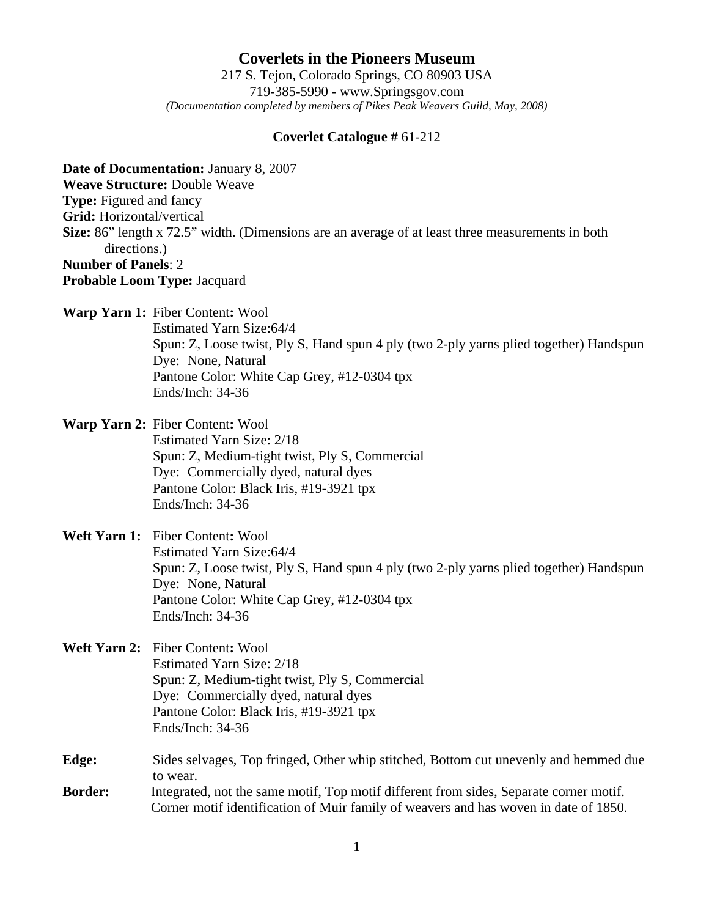**Coverlets in the Pioneers Museum** 217 S. Tejon, Colorado Springs, CO 80903 USA 719-385-5990 - www.Springsgov.com *(Documentation completed by members of Pikes Peak Weavers Guild, May, 2008)* 

## **Coverlet Catalogue #** 61-212

**Date of Documentation:** January 8, 2007 **Weave Structure:** Double Weave **Type:** Figured and fancy **Grid:** Horizontal/vertical **Size:** 86" length x 72.5" width. (Dimensions are an average of at least three measurements in both directions.) **Number of Panels**: 2 **Probable Loom Type:** Jacquard

**Warp Yarn 1:** Fiber Content**:** Wool

 Estimated Yarn Size: 64/4 Spun: Z, Loose twist, Ply S, Hand spun 4 ply (two 2-ply yarns plied together) Handspun Dye: None, Natural Pantone Color: White Cap Grey, #12-0304 tpx Ends/Inch: 34-36

**Warp Yarn 2:** Fiber Content**:** Wool Estimated Yarn Size: 2/18 Spun: Z, Medium-tight twist, Ply S, Commercial Dye: Commercially dyed, natural dyes Pantone Color: Black Iris, #19-3921 tpx Ends/Inch: 34-36

## **Weft Yarn 1:** Fiber Content**:** Wool Estimated Yarn Size: 64/4 Spun: Z, Loose twist, Ply S, Hand spun 4 ply (two 2-ply yarns plied together) Handspun Dye: None, Natural Pantone Color: White Cap Grey, #12-0304 tpx Ends/Inch: 34-36

**Weft Yarn 2:** Fiber Content**:** Wool Estimated Yarn Size: 2/18 Spun: Z, Medium-tight twist, Ply S, Commercial Dye: Commercially dyed, natural dyes Pantone Color: Black Iris, #19-3921 tpx Ends/Inch: 34-36

**Edge:** Sides selvages, Top fringed, Other whip stitched, Bottom cut unevenly and hemmed due to wear. **Border:** Integrated, not the same motif, Top motif different from sides, Separate corner motif.

Corner motif identification of Muir family of weavers and has woven in date of 1850.